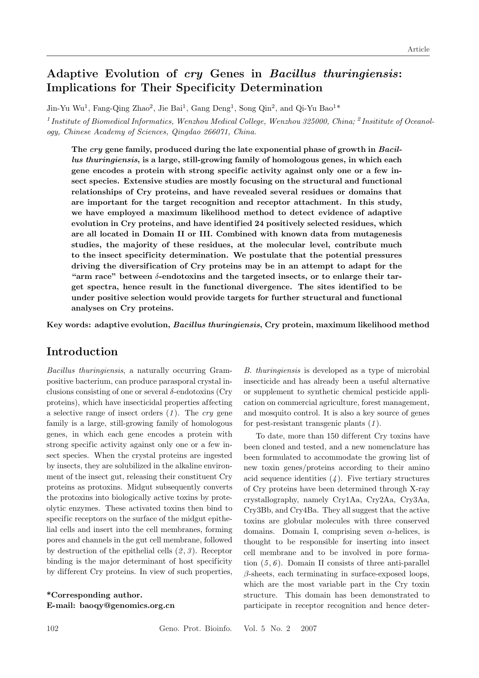# **Adaptive Evolution of** *cry* **Genes in** *Bacillus thuringiensis***: Implications for Their Specif icity Determination**

Jin-Yu Wu<sup>1</sup>, Fang-Qing Zhao<sup>2</sup>, Jie Bai<sup>1</sup>, Gang Deng<sup>1</sup>, Song Qin<sup>2</sup>, and Qi-Yu Bao<sup>1\*</sup> <sup>1</sup> *Institute of Biomedical Informatics, Wenzhou Medical College, Wenzhou 325000, China;* <sup>2</sup> *Insititute of Oceanology, Chinese Academy of Sciences, Qingdao 266071, China.*

**The** *cry* **gene family, produced during the late exponential phase of growth in** *Bacillus thuringiensis***, is a large, still-growing family of homologous genes, in which each** gene encodes a protein with strong specific activity against only one or a few in**sect species. Extensive studies are mostly focusing on the structural and functional relationships of Cry proteins, and have revealed several residues or domains that are important for the target recognition and receptor attachment. In this study, we have employed a maximum likelihood method to detect evidence of adaptive evolution in Cry proteins, and have identif ied 24 positively selected residues, which are all located in Domain II or III. Combined with known data from mutagenesis studies, the majority of these residues, at the molecular level, contribute much to the insect specif icity determination. We postulate that the potential pressures driving the diversif ication of Cry proteins may be in an attempt to adapt for the "arm race" between** δ**-endotoxins and the targeted insects, or to enlarge their tar**get spectra, hence result in the functional divergence. The sites identified to be **under positive selection would provide targets for further structural and functional analyses on Cry proteins.**

**Key words: adaptive evolution,** *Bacillus thuringiensis***, Cry protein, maximum likelihood method**

# **Introduction**

*Bacillus thuringiensis*, a naturally occurring Grampositive bacterium, can produce parasporal crystal inclusions consisting of one or several  $\delta$ -endotoxins (Cry proteins), which have insecticidal properties af fecting a selective range of insect orders (*1* ). The *cry* gene family is a large, still-growing family of homologous genes, in which each gene encodes a protein with strong specific activity against only one or a few insect species. When the crystal proteins are ingested by insects, they are solubilized in the alkaline environment of the insect gut, releasing their constituent Cry proteins as protoxins. Midgut subsequently converts the protoxins into biologically active toxins by proteolytic enzymes. These activated toxins then bind to specific receptors on the surface of the midgut epithelial cells and insert into the cell membranes, forming pores and channels in the gut cell membrane, followed by destruction of the epithelial cells (*2* , *3* ). Receptor binding is the major determinant of host specificity by dif ferent Cry proteins. In view of such properties,

**\*Corresponding author. E-mail: baoqy@genomics.org.cn**

*B. thuringiensis* is developed as a type of microbial insecticide and has already been a useful alternative or supplement to synthetic chemical pesticide application on commercial agriculture, forest management, and mosquito control. It is also a key source of genes for pest-resistant transgenic plants (*1* ).

To date, more than 150 different Cry toxins have been cloned and tested, and a new nomenclature has been formulated to accommodate the growing list of new toxin genes/proteins according to their amino acid sequence identities  $(4)$ . Five tertiary structures of Cry proteins have been determined through X-ray crystallography, namely Cry1Aa, Cry2Aa, Cry3Aa, Cry3Bb, and Cry4Ba. They all suggest that the active toxins are globular molecules with three conserved domains. Domain I, comprising seven  $\alpha$ -helices, is thought to be responsible for inserting into insect cell membrane and to be involved in pore formation  $(5, 6)$ . Domain II consists of three anti-parallel  $\beta$ -sheets, each terminating in surface-exposed loops, which are the most variable part in the Cry toxin structure. This domain has been demonstrated to participate in receptor recognition and hence deter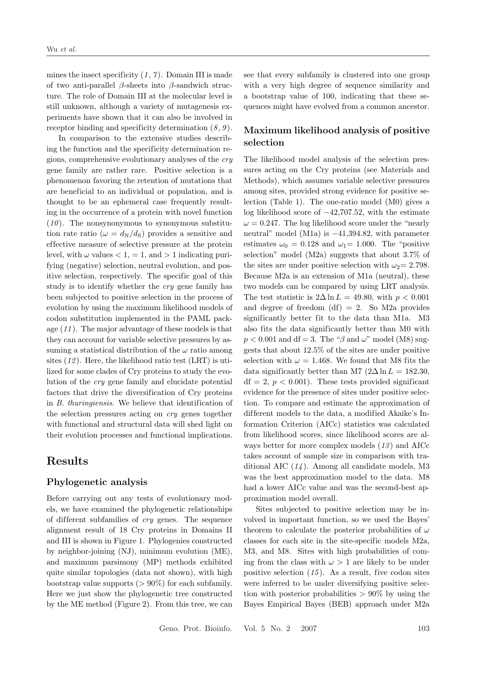mines the insect specificity  $(1, 7)$ . Domain III is made of two anti-parallel  $\beta$ -sheets into  $\beta$ -sandwich structure. The role of Domain III at the molecular level is still unknown, although a variety of mutagenesis experiments have shown that it can also be involved in receptor binding and specificity determination (*8* , *9* ).

In comparison to the extensive studies describing the function and the specificity determination regions, comprehensive evolutionary analyses of the *cry* gene family are rather rare. Positive selection is a phenomenon favoring the retention of mutations that are beneficial to an individual or population, and is thought to be an ephemeral case frequently resulting in the occurrence of a protein with novel function (*10* ). The nonsynonymous to synonymous substitution rate ratio ( $\omega = d_N/d_S$ ) provides a sensitive and ef fective measure of selective pressure at the protein level, with  $\omega$  values  $< 1, = 1$ , and  $> 1$  indicating purifying (negative) selection, neutral evolution, and positive selection, respectively. The specific goal of this study is to identify whether the *cry* gene family has been subjected to positive selection in the process of evolution by using the maximum likelihood models of codon substitution implemented in the PAML package (*11* ). The major advantage of these models is that they can account for variable selective pressures by assuming a statistical distribution of the  $\omega$  ratio among sites (*12* ). Here, the likelihood ratio test (LRT) is utilized for some clades of Cry proteins to study the evolution of the *cry* gene family and elucidate potential factors that drive the diversification of Cry proteins in *B. thuringiensis*. We believe that identification of the selection pressures acting on *cry* genes together with functional and structural data will shed light on their evolution processes and functional implications.

## **Results**

#### **Phylogenetic analysis**

Before carrying out any tests of evolutionary models, we have examined the phylogenetic relationships of dif ferent subfamilies of *cry* genes. The sequence alignment result of 18 Cry proteins in Domains II and III is shown in Figure 1. Phylogenies constructed by neighbor-joining (NJ), minimum evolution (ME), and maximum parsimony (MP) methods exhibited quite similar topologies (data not shown), with high bootstrap value supports  $(> 90\%)$  for each subfamily. Here we just show the phylogenetic tree constructed by the ME method (Figure 2). From this tree, we can see that every subfamily is clustered into one group with a very high degree of sequence similarity and a bootstrap value of 100, indicating that these sequences might have evolved from a common ancestor.

### **Maximum likelihood analysis of positive selection**

The likelihood model analysis of the selection pressures acting on the Cry proteins (see Materials and Methods), which assumes variable selective pressures among sites, provided strong evidence for positive selection (Table 1). The one-ratio model (M0) gives a log likelihood score of −42,707.52, with the estimate  $\omega = 0.247$ . The log likelihood score under the "nearly neutral" model (M1a) is −41,394.82, with parameter estimates  $\omega_0 = 0.128$  and  $\omega_1 = 1.000$ . The "positive" selection" model (M2a) suggests that about 3.7% of the sites are under positive selection with  $\omega_2$  = 2.798. Because M2a is an extension of M1a (neutral), these two models can be compared by using LRT analysis. The test statistic is  $2\Delta \ln L = 49.80$ , with  $p < 0.001$ and degree of freedom  $(df) = 2$ . So M2a provides significantly better fit to the data than M1a. M3 also fits the data significantly better than M0 with  $p < 0.001$  and df = 3. The " $\beta$  and  $\omega$ " model (M8) suggests that about 12.5% of the sites are under positive selection with  $\omega = 1.468$ . We found that M8 fits the data significantly better than M7 ( $2\Delta \ln L = 182.30$ ,  $df = 2, p < 0.001$ . These tests provided significant evidence for the presence of sites under positive selection. To compare and estimate the approximation of dif ferent models to the data, a modified Akaike's Information Criterion (AICc) statistics was calculated from likelihood scores, since likelihood scores are always better for more complex models (*13* ) and AICc takes account of sample size in comparison with traditional AIC (*14* ). Among all candidate models, M3 was the best approximation model to the data. M8 had a lower AICc value and was the second-best approximation model overall.

Sites subjected to positive selection may be involved in important function, so we used the Bayes' theorem to calculate the posterior probabilities of  $\omega$ classes for each site in the site-specific models M2a, M3, and M8. Sites with high probabilities of coming from the class with  $\omega > 1$  are likely to be under positive selection (*15* ). As a result, five codon sites were inferred to be under diversifying positive selection with posterior probabilities  $> 90\%$  by using the Bayes Empirical Bayes (BEB) approach under M2a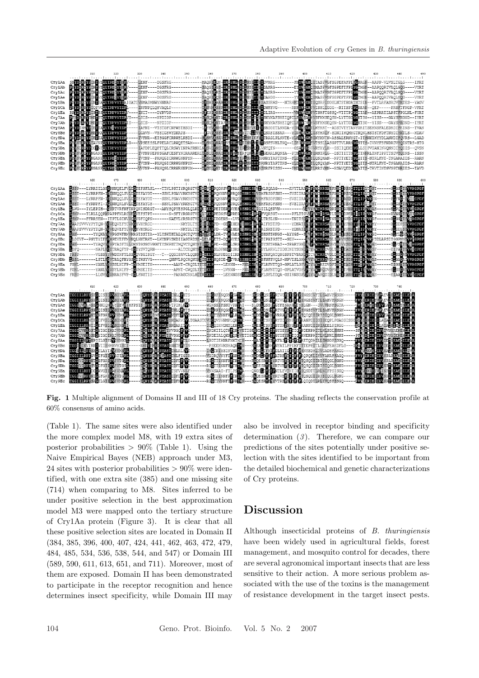

**Fig. 1** Multiple alignment of Domains II and III of 18 Cry proteins. The shading reflects the conservation profile at 60% consensus of amino acids.

(Table 1). The same sites were also identified under the more complex model M8, with 19 extra sites of posterior probabilities  $> 90\%$  (Table 1). Using the Naive Empirical Bayes (NEB) approach under M3, 24 sites with posterior probabilities  $> 90\%$  were identified, with one extra site (385) and one missing site (714) when comparing to M8. Sites inferred to be under positive selection in the best approximation model M3 were mapped onto the tertiary structure of Cry1Aa protein (Figure 3). It is clear that all these positive selection sites are located in Domain II (384, 385, 396, 400, 407, 424, 441, 462, 463, 472, 479, 484, 485, 534, 536, 538, 544, and 547) or Domain III (589, 590, 611, 613, 651, and 711). Moreover, most of them are exposed. Domain II has been demonstrated to participate in the receptor recognition and hence determines insect specificity, while Domain III may

also be involved in receptor binding and specificity determination (*3* ). Therefore, we can compare our predictions of the sites potentially under positive selection with the sites identified to be important from the detailed biochemical and genetic characterizations of Cry proteins.

## **Discussion**

Although insecticidal proteins of *B. thuringiensis* have been widely used in agricultural fields, forest management, and mosquito control for decades, there are several agronomical important insects that are less sensitive to their action. A more serious problem associated with the use of the toxins is the management of resistance development in the target insect pests.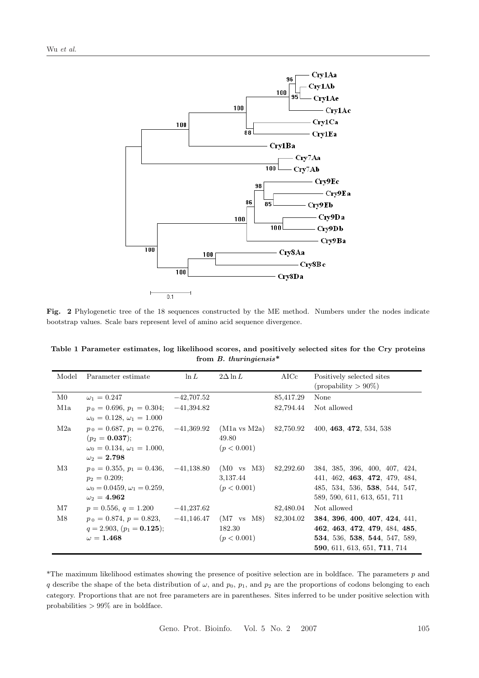

**Fig. 2** Phylogenetic tree of the 18 sequences constructed by the ME method. Numbers under the nodes indicate bootstrap values. Scale bars represent level of amino acid sequence divergence.

| Table 1 Parameter estimates, log likelihood scores, and positively selected sites for the Cry proteins |  |                           |  |  |  |  |
|--------------------------------------------------------------------------------------------------------|--|---------------------------|--|--|--|--|
|                                                                                                        |  | from $B$ . thuringiensis* |  |  |  |  |
|                                                                                                        |  |                           |  |  |  |  |

| Model | Parameter estimate                     | $\ln L$      | $2\Delta \ln L$         | $\rm AICc$ | Positively selected sites<br>$\text{(propability} > 90\%)$ |
|-------|----------------------------------------|--------------|-------------------------|------------|------------------------------------------------------------|
| M0    | $\omega_1 = 0.247$                     | $-42,707.52$ |                         | 85,417.29  | None                                                       |
| M1a   | $p_0 = 0.696, p_1 = 0.304;$            | $-41,394.82$ |                         | 82,794.44  | Not allowed                                                |
|       | $\omega_0 = 0.128, \omega_1 = 1.000$   |              |                         |            |                                                            |
| M2a   | $p_0 = 0.687, p_1 = 0.276,$            | $-41,369.92$ | $(M1a \text{ vs } M2a)$ | 82,750.92  | 400, 463, 472, 534, 538                                    |
|       | $(p_2 = 0.037)$ ;                      |              | 49.80                   |            |                                                            |
|       | $\omega_0 = 0.134, \omega_1 = 1.000,$  |              | (p < 0.001)             |            |                                                            |
|       | $\omega_2 = 2.798$                     |              |                         |            |                                                            |
| M3    | $p_0 = 0.355, p_1 = 0.436, -41,138.80$ |              | $(M0 \text{ vs } M3)$   | 82,292.60  | 384, 385, 396, 400, 407, 424,                              |
|       | $p_2 = 0.209$                          |              | 3,137.44                |            | 441, 462, 463, 472, 479, 484,                              |
|       | $\omega_0 = 0.0459, \omega_1 = 0.259,$ |              | (p < 0.001)             |            | 485, 534, 536, 538, 544, 547,                              |
|       | $\omega_2=4.962$                       |              |                         |            | 589, 590, 611, 613, 651, 711                               |
| M7    | $p = 0.556, q = 1.200$                 | $-41,237.62$ |                         | 82,480.04  | Not allowed                                                |
| M8    | $p_0 = 0.874, p = 0.823,$              | $-41,146.47$ | $(M7 \text{ vs } M8)$   | 82,304.02  | 384, 396, 400, 407, 424, 441,                              |
|       | $q = 2.903, (p_1 = 0.125);$            |              | 182.30                  |            | 462, 463, 472, 479, 484, 485,                              |
|       | $\omega=1.468$                         |              | (p < 0.001)             |            | 534, 536, 538, 544, 547, 589,                              |
|       |                                        |              |                         |            | 590, 611, 613, 651, 711, 714                               |

\*The maximum likelihood estimates showing the presence of positive selection are in boldface. The parameters  $p$  and q describe the shape of the beta distribution of  $\omega$ , and  $p_0$ ,  $p_1$ , and  $p_2$  are the proportions of codons belonging to each category. Proportions that are not free parameters are in parentheses. Sites inferred to be under positive selection with probabilities > 99% are in boldface.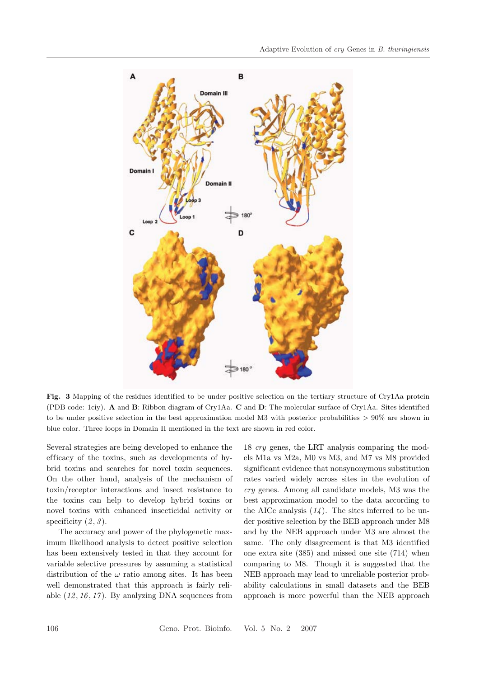

**Fig. 3** Mapping of the residues identified to be under positive selection on the tertiary structure of Cry1Aa protein (PDB code: 1ciy). **A** and **B**: Ribbon diagram of Cry1Aa. **C** and **D**: The molecular surface of Cry1Aa. Sites identified to be under positive selection in the best approximation model M3 with posterior probabilities  $> 90\%$  are shown in blue color. Three loops in Domain II mentioned in the text are shown in red color.

Several strategies are being developed to enhance the efficacy of the toxins, such as developments of hybrid toxins and searches for novel toxin sequences. On the other hand, analysis of the mechanism of toxin/receptor interactions and insect resistance to the toxins can help to develop hybrid toxins or novel toxins with enhanced insecticidal activity or specificity  $(2, 3)$ .

The accuracy and power of the phylogenetic maximum likelihood analysis to detect positive selection has been extensively tested in that they account for variable selective pressures by assuming a statistical distribution of the  $\omega$  ratio among sites. It has been well demonstrated that this approach is fairly reliable (*12* , *16* , *17* ). By analyzing DNA sequences from

18 *cry* genes, the LRT analysis comparing the models M1a vs M2a, M0 vs M3, and M7 vs M8 provided significant evidence that nonsynonymous substitution rates varied widely across sites in the evolution of *cry* genes. Among all candidate models, M3 was the best approximation model to the data according to the AICc analysis  $(14)$ . The sites inferred to be under positive selection by the BEB approach under M8 and by the NEB approach under M3 are almost the same. The only disagreement is that M3 identified one extra site (385) and missed one site (714) when comparing to M8. Though it is suggested that the NEB approach may lead to unreliable posterior probability calculations in small datasets and the BEB approach is more powerful than the NEB approach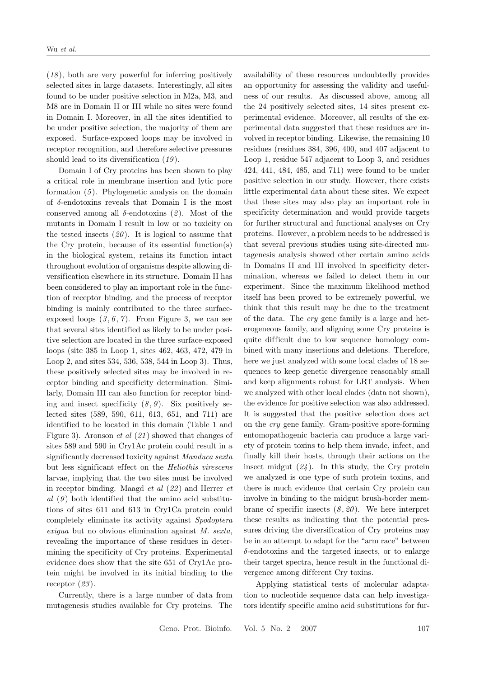(*18* ), both are very powerful for inferring positively selected sites in large datasets. Interestingly, all sites found to be under positive selection in M2a, M3, and M8 are in Domain II or III while no sites were found in Domain I. Moreover, in all the sites identified to be under positive selection, the majority of them are exposed. Surface-exposed loops may be involved in receptor recognition, and therefore selective pressures should lead to its diversification (*19* ).

Domain I of Cry proteins has been shown to play a critical role in membrane insertion and lytic pore formation (*5* ). Phylogenetic analysis on the domain of δ-endotoxins reveals that Domain I is the most conserved among all  $\delta$ -endotoxins  $(2)$ . Most of the mutants in Domain I result in low or no toxicity on the tested insects (*20* ). It is logical to assume that the Cry protein, because of its essential function(s) in the biological system, retains its function intact throughout evolution of organisms despite allowing diversification elsewhere in its structure. Domain II has been considered to play an important role in the function of receptor binding, and the process of receptor binding is mainly contributed to the three surfaceexposed loops  $(3, 6, 7)$ . From Figure 3, we can see that several sites identified as likely to be under positive selection are located in the three surface-exposed loops (site 385 in Loop 1, sites 462, 463, 472, 479 in Loop 2, and sites 534, 536, 538, 544 in Loop 3). Thus, these positively selected sites may be involved in receptor binding and specificity determination. Similarly, Domain III can also function for receptor binding and insect specificity  $(8, 9)$ . Six positively selected sites (589, 590, 611, 613, 651, and 711) are identified to be located in this domain (Table 1 and Figure 3). Aronson *et al* (*21* ) showed that changes of sites 589 and 590 in Cry1Ac protein could result in a significantly decreased toxicity against *Manduca sexta* but less significant ef fect on the *Heliothis virescens* larvae, implying that the two sites must be involved in receptor binding. Maagd *et al* (*22* ) and Herrer *et al* (*9* ) both identified that the amino acid substitutions of sites 611 and 613 in Cry1Ca protein could completely eliminate its activity against *Spodoptera exigua* but no obvious elimination against *M. sexta*, revealing the importance of these residues in determining the specificity of Cry proteins. Experimental evidence does show that the site 651 of Cry1Ac protein might be involved in its initial binding to the receptor (*23* ).

Currently, there is a large number of data from mutagenesis studies available for Cry proteins. The

availability of these resources undoubtedly provides an opportunity for assessing the validity and usefulness of our results. As discussed above, among all the 24 positively selected sites, 14 sites present experimental evidence. Moreover, all results of the experimental data suggested that these residues are involved in receptor binding. Likewise, the remaining 10 residues (residues 384, 396, 400, and 407 adjacent to Loop 1, residue 547 adjacent to Loop 3, and residues 424, 441, 484, 485, and 711) were found to be under positive selection in our study. However, there exists little experimental data about these sites. We expect that these sites may also play an important role in specificity determination and would provide targets for further structural and functional analyses on Cry proteins. However, a problem needs to be addressed is that several previous studies using site-directed mutagenesis analysis showed other certain amino acids in Domains II and III involved in specificity determination, whereas we failed to detect them in our experiment. Since the maximum likelihood method itself has been proved to be extremely powerful, we think that this result may be due to the treatment of the data. The *cry* gene family is a large and heterogeneous family, and aligning some Cry proteins is quite difficult due to low sequence homology combined with many insertions and deletions. Therefore, here we just analyzed with some local clades of 18 sequences to keep genetic divergence reasonably small and keep alignments robust for LRT analysis. When we analyzed with other local clades (data not shown), the evidence for positive selection was also addressed. It is suggested that the positive selection does act on the *cry* gene family. Gram-positive spore-forming entomopathogenic bacteria can produce a large variety of protein toxins to help them invade, infect, and finally kill their hosts, through their actions on the insect midgut (*24* ). In this study, the Cry protein we analyzed is one type of such protein toxins, and there is much evidence that certain Cry protein can involve in binding to the midgut brush-border membrane of specific insects (*8* , *20* ). We here interpret these results as indicating that the potential pressures driving the diversification of Cry proteins may be in an attempt to adapt for the "arm race" between δ-endotoxins and the targeted insects, or to enlarge their target spectra, hence result in the functional divergence among different Cry toxins.

Applying statistical tests of molecular adaptation to nucleotide sequence data can help investigators identify specific amino acid substitutions for fur-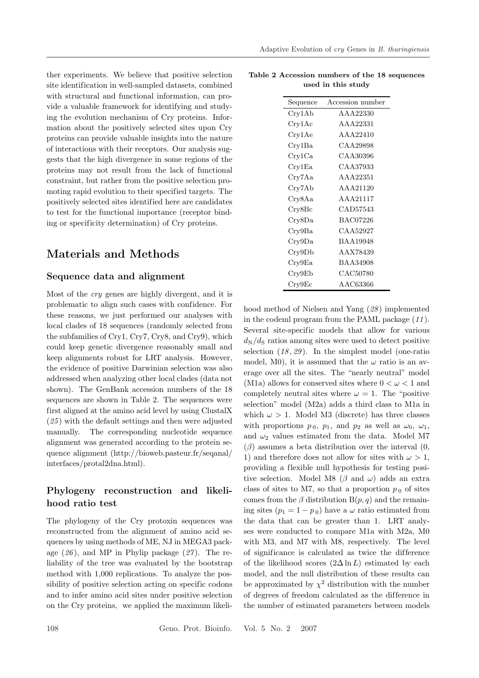ther experiments. We believe that positive selection site identification in well-sampled datasets, combined with structural and functional information, can provide a valuable framework for identifying and studying the evolution mechanism of Cry proteins. Information about the positively selected sites upon Cry proteins can provide valuable insights into the nature of interactions with their receptors. Our analysis suggests that the high divergence in some regions of the proteins may not result from the lack of functional constraint, but rather from the positive selection promoting rapid evolution to their specified targets. The positively selected sites identified here are candidates to test for the functional importance (receptor binding or specificity determination) of Cry proteins.

## **Materials and Methods**

#### **Sequence data and alignment**

Most of the *cry* genes are highly divergent, and it is problematic to align such cases with confidence. For these reasons, we just performed our analyses with local clades of 18 sequences (randomly selected from the subfamilies of Cry1, Cry7, Cry8, and Cry9), which could keep genetic divergence reasonably small and keep alignments robust for LRT analysis. However, the evidence of positive Darwinian selection was also addressed when analyzing other local clades (data not shown). The GenBank accession numbers of the 18 sequences are shown in Table 2. The sequences were first aligned at the amino acid level by using ClustalX (*25* ) with the default settings and then were adjusted manually. The corresponding nucleotide sequence alignment was generated according to the protein sequence alignment (http://bioweb.pasteur.fr/seqanal/ interfaces/protal2dna.html).

### **Phylogeny reconstruction and likelihood ratio test**

The phylogeny of the Cry protoxin sequences was reconstructed from the alignment of amino acid sequences by using methods of ME, NJ in MEGA3 package (*26* ), and MP in Phylip package (*27* ). The reliability of the tree was evaluated by the bootstrap method with 1,000 replications. To analyze the possibility of positive selection acting on specific codons and to infer amino acid sites under positive selection on the Cry proteins, we applied the maximum likeli-

| Sequence     | Accession number |
|--------------|------------------|
| Cry1Ab       | AAA22330         |
| $\rm Cry1Ac$ | AAA22331         |
| $\rm Crv1Ae$ | AAA22410         |
| Cry1Ba       | CAA29898         |
| $\rm Cry1Ca$ | CAA30396         |
| $\rm Crv1Ea$ | CAA37933         |
| Cry7Aa       | A A A 22351      |
| Cry7Ab       | A A A 21120      |
| Cry8Aa       | AAA21117         |
| $\rm Cry8Bc$ | CAD57543         |
| Cry8Da       | <b>BAC07226</b>  |
| Cry9Ba       | CAA52927         |
| $\rm Cry9Da$ | <b>BAA19948</b>  |
| Cry9Db       | AAX78439         |
| $\rm Cry9Ea$ | <b>BAA34908</b>  |
| Cry9Eb       | CAC50780         |
| $\rm Cry9Ec$ | AAC63366         |

**Table 2 Accession numbers of the 18 sequences used in this study**

hood method of Nielsen and Yang (*28* ) implemented in the codeml program from the PAML package (*11* ). Several site-specific models that allow for various  $d_N/d_S$  ratios among sites were used to detect positive selection (*18* , *29* ). In the simplest model (one-ratio model, M0), it is assumed that the  $\omega$  ratio is an average over all the sites. The "nearly neutral" model (M1a) allows for conserved sites where  $0 < \omega < 1$  and completely neutral sites where  $\omega = 1$ . The "positive" selection" model (M2a) adds a third class to M1a in which  $\omega > 1$ . Model M3 (discrete) has three classes with proportions  $p_0$ ,  $p_1$ , and  $p_2$  as well as  $\omega_0$ ,  $\omega_1$ , and  $\omega_2$  values estimated from the data. Model M7  $(\beta)$  assumes a beta distribution over the interval  $(0,$ 1) and therefore does not allow for sites with  $\omega > 1$ , providing a flexible null hypothesis for testing positive selection. Model M8 ( $\beta$  and  $\omega$ ) adds an extra class of sites to M7, so that a proportion  $p_0$  of sites comes from the  $\beta$  distribution B $(p, q)$  and the remaining sites  $(p_1 = 1 - p_0)$  have a  $\omega$  ratio estimated from the data that can be greater than 1. LRT analyses were conducted to compare M1a with M2a, M0 with M3, and M7 with M8, respectively. The level of significance is calculated as twice the dif ference of the likelihood scores  $(2\Delta \ln L)$  estimated by each model, and the null distribution of these results can be approximated by  $\chi^2$  distribution with the number of degrees of freedom calculated as the difference in the number of estimated parameters between models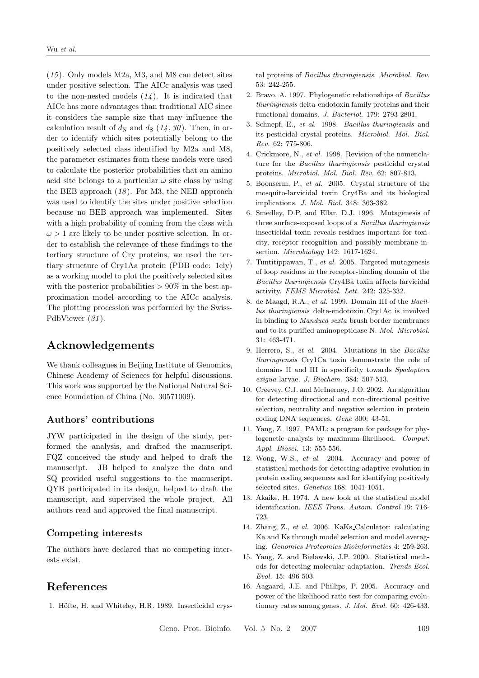(*15* ). Only models M2a, M3, and M8 can detect sites under positive selection. The AICc analysis was used to the non-nested models (*14* ). It is indicated that AICc has more advantages than traditional AIC since it considers the sample size that may influence the calculation result of  $d_N$  and  $d_S$  (14, 30). Then, in order to identify which sites potentially belong to the positively selected class identified by M2a and M8, the parameter estimates from these models were used to calculate the posterior probabilities that an amino acid site belongs to a particular  $\omega$  site class by using the BEB approach (*18* ). For M3, the NEB approach was used to identify the sites under positive selection because no BEB approach was implemented. Sites with a high probability of coming from the class with  $\omega > 1$  are likely to be under positive selection. In order to establish the relevance of these findings to the tertiary structure of Cry proteins, we used the tertiary structure of Cry1Aa protein (PDB code: 1ciy) as a working model to plot the positively selected sites with the posterior probabilities  $> 90\%$  in the best approximation model according to the AICc analysis. The plotting procession was performed by the Swiss-PdbViewer (*31* ).

## **Acknowledgements**

We thank colleagues in Beijing Institute of Genomics, Chinese Academy of Sciences for helpful discussions. This work was supported by the National Natural Science Foundation of China (No. 30571009).

#### **Authors' contributions**

JYW participated in the design of the study, performed the analysis, and drafted the manuscript. FQZ conceived the study and helped to draft the manuscript. JB helped to analyze the data and SQ provided useful suggestions to the manuscript. QYB participated in its design, helped to draft the manuscript, and supervised the whole project. All authors read and approved the final manuscript.

#### **Competing interests**

The authors have declared that no competing interests exist.

### **References**

1. Höfte, H. and Whiteley, H.R. 1989. Insecticidal crys-

tal proteins of *Bacillus thuringiensis*. *Microbiol. Rev.* 53: 242-255.

- 2. Bravo, A. 1997. Phylogenetic relationships of *Bacillus thuringiensis* delta-endotoxin family proteins and their functional domains. *J. Bacteriol.* 179: 2793-2801.
- 3. Schnepf, E., *et al.* 1998. *Bacillus thuringiensis* and its pesticidal crystal proteins. *Microbiol. Mol. Biol. Rev.* 62: 775-806.
- 4. Crickmore, N., *et al.* 1998. Revision of the nomenclature for the *Bacillus thuringiensis* pesticidal crystal proteins. *Microbiol. Mol. Biol. Rev.* 62: 807-813.
- 5. Boonserm, P., *et al.* 2005. Crystal structure of the mosquito-larvicidal toxin Cry4Ba and its biological implications. *J. Mol. Biol.* 348: 363-382.
- 6. Smedley, D.P. and Ellar, D.J. 1996. Mutagenesis of three surface-exposed loops of a *Bacillus thuringiensis* insecticidal toxin reveals residues important for toxicity, receptor recognition and possibly membrane insertion. *Microbiology* 142: 1617-1624.
- 7. Tuntitippawan, T., *et al.* 2005. Targeted mutagenesis of loop residues in the receptor-binding domain of the *Bacillus thuringiensis* Cry4Ba toxin affects larvicidal activity. *FEMS Microbiol. Lett.* 242: 325-332.
- 8. de Maagd, R.A., *et al.* 1999. Domain III of the *Bacillus thuringiensis* delta-endotoxin Cry1Ac is involved in binding to *Manduca sexta* brush border membranes and to its purified aminopeptidase N. *Mol. Microbiol.* 31: 463-471.
- 9. Herrero, S., *et al.* 2004. Mutations in the *Bacillus thuringiensis* Cry1Ca toxin demonstrate the role of domains II and III in specificity towards *Spodoptera exigua* larvae. *J. Biochem.* 384: 507-513.
- 10. Creevey, C.J. and McInerney, J.O. 2002. An algorithm for detecting directional and non-directional positive selection, neutrality and negative selection in protein coding DNA sequences. *Gene* 300: 43-51.
- 11. Yang, Z. 1997. PAML: a program for package for phylogenetic analysis by maximum likelihood. *Comput. Appl. Biosci.* 13: 555-556.
- 12. Wong, W.S., *et al.* 2004. Accuracy and power of statistical methods for detecting adaptive evolution in protein coding sequences and for identifying positively selected sites. *Genetics* 168: 1041-1051.
- 13. Akaike, H. 1974. A new look at the statistical model identification. *IEEE Trans. Autom. Control* 19: 716- 723.
- 14. Zhang, Z., *et al.* 2006. KaKs Calculator: calculating Ka and Ks through model selection and model averaging. *Genomics Proteomics Bioinformatics* 4: 259-263.
- 15. Yang, Z. and Bielawski, J.P. 2000. Statistical methods for detecting molecular adaptation. *Trends Ecol. Evol.* 15: 496-503.
- 16. Aagaard, J.E. and Phillips, P. 2005. Accuracy and power of the likelihood ratio test for comparing evolutionary rates among genes. *J. Mol. Evol.* 60: 426-433.

Geno. Prot. Bioinfo. Vol. 5 No. 2 2007 109